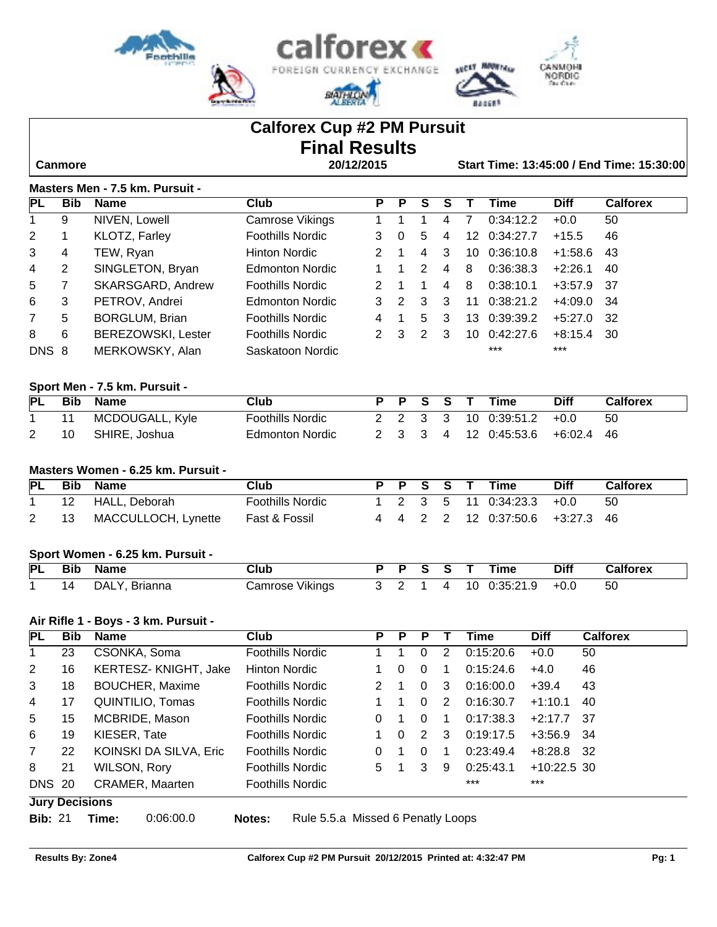

# **Calforex Cup #2 PM Pursuit Final Results**

 **Canmore 20/12/2015 Start Time: 13:45:00 / End Time: 15:30:00**

### **Masters Men - 7.5 km. Pursuit -**

| IPL.  | <b>Bib</b> | <b>Name</b>               | Club                    | Р             | P | S | s |    | Time      | <b>Diff</b> | <b>Calforex</b> |
|-------|------------|---------------------------|-------------------------|---------------|---|---|---|----|-----------|-------------|-----------------|
|       | 9          | NIVEN, Lowell             | Camrose Vikings         |               |   |   | 4 |    | 0:34:12.2 | $+0.0$      | 50              |
| 2     |            | KLOTZ, Farley             | <b>Foothills Nordic</b> | 3             | 0 | 5 | 4 | 12 | 0:34:27.7 | $+15.5$     | 46              |
| 3     | 4          | TEW, Ryan                 | Hinton Nordic           |               |   | 4 | 3 | 10 | 0:36:10.8 | $+1:58.6$   | 43              |
| 4     | 2          | SINGLETON, Bryan          | <b>Edmonton Nordic</b>  |               |   | 2 | 4 | 8  | 0:36:38.3 | $+2:26.1$   | 40              |
| 5     |            | SKARSGARD, Andrew         | <b>Foothills Nordic</b> |               |   |   | 4 | 8  | 0:38:10.1 | +3:57.9     | - 37            |
| 6     | 3          | PETROV, Andrei            | Edmonton Nordic         |               | 2 | 3 | 3 | 11 | 0:38:21.2 | +4:09.0     | -34             |
| 7     | 5          | <b>BORGLUM, Brian</b>     | <b>Foothills Nordic</b> | 4             |   | 5 | 3 | 13 | 0:39:39.2 | $+5:27.0$   | -32             |
| 8     | 6          | <b>BEREZOWSKI, Lester</b> | Foothills Nordic        | $\mathcal{P}$ | 3 | 2 | 3 | 10 | 0:42:27.6 | $+8:15.4$   | -30             |
| DNS 8 |            | MERKOWSKY, Alan           | Saskatoon Nordic        |               |   |   |   |    | $***$     | $***$       |                 |

# **Sport Men - 7.5 km. Pursuit -**

| PL | Bib | <b>Name</b>     | Club                    |  | PPSST |  | Time                 | <b>Diff</b> | Calforex |
|----|-----|-----------------|-------------------------|--|-------|--|----------------------|-------------|----------|
|    |     | MCDOUGALL, Kyle | <b>Foothills Nordic</b> |  |       |  | 2 2 3 3 10 0:39:51.2 | $+0.0$      | 50       |
|    | 10  | SHIRE, Joshua   | Edmonton Nordic         |  |       |  | 2 3 3 4 12 0:45:53.6 | +6:02.4 46  |          |

#### **Masters Women - 6.25 km. Pursuit -**

| <b>PL</b> |    | <b>Bib Name</b>     | Club                    |  |  | PPSST <sup>.</sup> | Time                                                            | <b>Diff</b> | <b>Calforex</b> |
|-----------|----|---------------------|-------------------------|--|--|--------------------|-----------------------------------------------------------------|-------------|-----------------|
|           | 12 | HALL. Deborah       | <b>Foothills Nordic</b> |  |  |                    | $1 \quad 2 \quad 3 \quad 5 \quad 11 \quad 0.34:23.3 \quad +0.0$ |             | 50              |
|           | 13 | MACCULLOCH, Lynette | Fast & Fossil           |  |  |                    | 4 4 2 2 12 0:37:50.6 +3:27.3 46                                 |             |                 |

#### **Sport Women - 6.25 km. Pursuit -**

| PL | <b>Bib</b> | Name             | Club               | D |  |    | Time      | Diff   | Calforex |
|----|------------|------------------|--------------------|---|--|----|-----------|--------|----------|
|    | 14         | Brianna<br>DALY. | Vikings<br>∵amrose |   |  | 10 | 0.35:21.9 | $+0.0$ | 50       |

## **Air Rifle 1 - Boys - 3 km. Pursuit -**

| PL             | <b>Bib</b>         | <b>Name</b>            | Club                    | P  | P | Р        |   | Time      | <b>Diff</b>   | <b>Calforex</b> |
|----------------|--------------------|------------------------|-------------------------|----|---|----------|---|-----------|---------------|-----------------|
|                | 23                 | CSONKA, Soma           | <b>Foothills Nordic</b> |    |   | 0        | 2 | 0:15:20.6 | $+0.0$        | 50              |
| 2              | 16                 | KERTESZ-KNIGHT, Jake   | <b>Hinton Nordic</b>    |    | 0 | 0        |   | 0:15:24.6 | $+4.0$        | 46              |
| 3              | 18                 | <b>BOUCHER, Maxime</b> | <b>Foothills Nordic</b> | 2. |   | $\Omega$ | 3 | 0:16:00.0 | $+39.4$       | 43              |
| $\overline{4}$ | 17                 | QUINTILIO, Tomas       | Foothills Nordic        |    |   | 0        | 2 | 0:16:30.7 | $+1:10.1$     | 40              |
| 5              | 15                 | MCBRIDE, Mason         | <b>Foothills Nordic</b> | 0  |   |          |   | 0:17:38.3 | $+2:17.7$     | -37             |
| 6              | 19                 | KIESER, Tate           | <b>Foothills Nordic</b> |    | 0 | 2        | 3 | 0:19:17.5 | $+3:56.9$ 34  |                 |
| $\overline{7}$ | 22                 | KOINSKI DA SILVA, Eric | <b>Foothills Nordic</b> | 0  |   |          |   | 0:23:49.4 | +8:28.8       | - 32            |
| 8              | 21                 | WILSON, Rory           | <b>Foothills Nordic</b> | 5  |   | 3        | 9 | 0:25:43.1 | $+10:22.5$ 30 |                 |
| <b>DNS 20</b>  |                    | <b>CRAMER, Maarten</b> | <b>Foothills Nordic</b> |    |   |          |   | $***$     | $***$         |                 |
| ———            | <del>- - - -</del> |                        |                         |    |   |          |   |           |               |                 |

#### **Jury Decisions**

**Bib:** 21 **Time:** 0:06:00.0 **Notes:** Rule 5.5.a Missed 6 Penatly Loops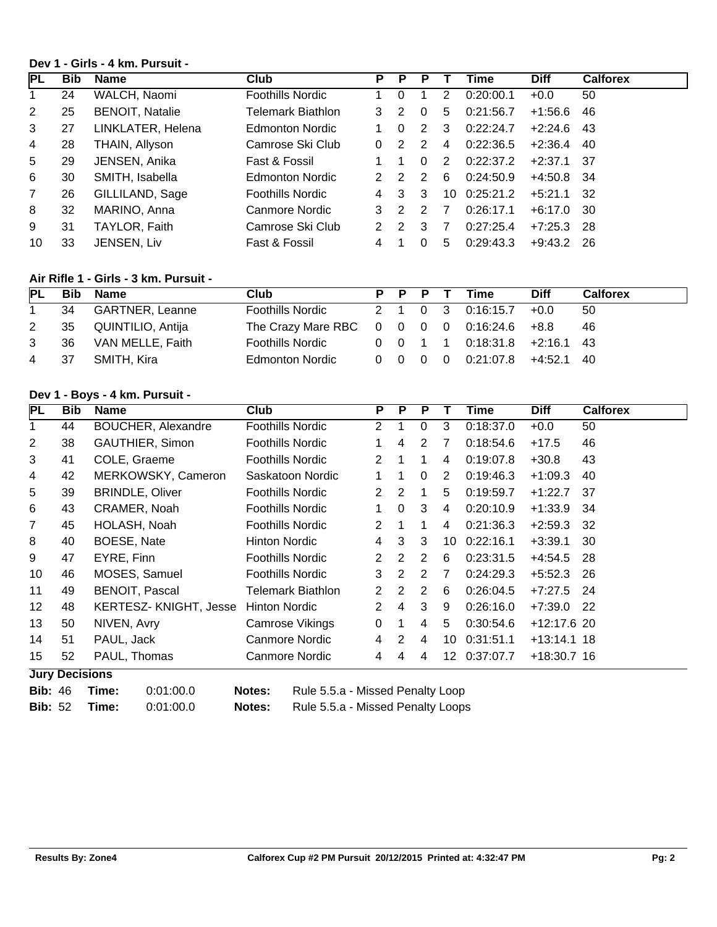## **Dev 1 - Girls - 4 km. Pursuit -**

| <b>PL</b> | <b>Bib</b> | Name                   | <b>Club</b>             | P             |   |   |    | Time      | <b>Diff</b> | <b>Calforex</b> |
|-----------|------------|------------------------|-------------------------|---------------|---|---|----|-----------|-------------|-----------------|
|           | 24         | WALCH, Naomi           | <b>Foothills Nordic</b> |               | 0 |   | 2  | 0:20:00.1 | $+0.0$      | 50              |
| 2         | 25         | <b>BENOIT, Natalie</b> | Telemark Biathlon       | 3             | 2 | 0 | 5  | 0:21:56.7 | $+1:56.6$   | 46              |
| 3         | 27         | LINKLATER, Helena      | Edmonton Nordic         |               | 0 | 2 | 3  | 0:22:24.7 | $+2:24.6$   | 43              |
| 4         | 28         | THAIN, Allyson         | Camrose Ski Club        | 0             | 2 | 2 | 4  | 0:22:36.5 | $+2:36.4$   | 40              |
| 5         | 29         | JENSEN, Anika          | Fast & Fossil           |               |   | 0 | 2  | 0:22:37.2 | $+2:37.1$   | - 37            |
| 6         | 30         | SMITH, Isabella        | Edmonton Nordic         | 2             | 2 | 2 | 6  | 0:24:50.9 | +4:50.8     | - 34            |
| 7         | 26         | GILLILAND, Sage        | <b>Foothills Nordic</b> | 4             | 3 | 3 | 10 | 0:25:21.2 | $+5:21.1$   | 32              |
| 8         | 32         | MARINO, Anna           | Canmore Nordic          | 3             | 2 | 2 |    | 0:26:17.1 | $+6:17.0$   | -30             |
| 9         | 31         | TAYLOR, Faith          | Camrose Ski Club        | $\mathcal{P}$ | 2 | 3 | 7  | 0:27:25.4 | +7:25.3     | -28             |
| 10        | 33         | JENSEN, Liv            | Fast & Fossil           | 4             |   | 0 | 5  | 0:29:43.3 | $+9.43.2$   | -26             |

#### **Air Rifle 1 - Girls - 3 km. Pursuit -**

| <b>PL</b> |      | <b>Bib Name</b>      | Club                                                     |  |  | P P P T Time                                                       | <b>Diff</b> | <b>Calforex</b> |
|-----------|------|----------------------|----------------------------------------------------------|--|--|--------------------------------------------------------------------|-------------|-----------------|
|           | - 34 | GARTNER, Leanne      | <b>Foothills Nordic</b>                                  |  |  | 2 1 0 3 0:16:15.7                                                  | $+0.0$      | 50              |
| 2         |      | 35 QUINTILIO, Antija | The Crazy Mare RBC $0 \t 0 \t 0 \t 0 \t 0$ :16:24.6 +8.8 |  |  |                                                                    |             | 46              |
| 3         | - 36 | VAN MELLE, Faith     | <b>Foothills Nordic</b>                                  |  |  | $0 \quad 0 \quad 1 \quad 1 \quad 0.18.31.8 \quad +2.16.1 \quad 43$ |             |                 |
| 4 37      |      | SMITH. Kira          | <b>Edmonton Nordic</b>                                   |  |  | $0 \quad 0 \quad 0 \quad 0 \quad 0:21:07.8$ +4:52.1 40             |             |                 |

# **Dev 1 - Boys - 4 km. Pursuit -**

| <b>PL</b>       | <b>Bib</b>            | <b>Name</b>                  | Club                    | P              | P        | P        |    | Time      | <b>Diff</b>   | <b>Calforex</b> |
|-----------------|-----------------------|------------------------------|-------------------------|----------------|----------|----------|----|-----------|---------------|-----------------|
| 1               | 44                    | <b>BOUCHER, Alexandre</b>    | Foothills Nordic        | 2              |          | $\Omega$ | 3  | 0:18:37.0 | $+0.0$        | 50              |
| 2               | 38                    | <b>GAUTHIER, Simon</b>       | <b>Foothills Nordic</b> |                | 4        | 2        | 7  | 0:18:54.6 | $+17.5$       | 46              |
| 3               | 41                    | COLE, Graeme                 | <b>Foothills Nordic</b> | $\overline{2}$ |          |          | 4  | 0:19:07.8 | $+30.8$       | 43              |
| 4               | 42                    | MERKOWSKY, Cameron           | Saskatoon Nordic        | 1              |          | $\Omega$ | 2  | 0:19:46.3 | $+1:09.3$     | 40              |
| 5               | 39                    | <b>BRINDLE, Oliver</b>       | <b>Foothills Nordic</b> | $\overline{2}$ | 2        |          | 5  | 0:19:59.7 | $+1:22.7$     | -37             |
| 6               | 43                    | CRAMER, Noah                 | <b>Foothills Nordic</b> | 1              | $\Omega$ | 3        | 4  | 0:20:10.9 | $+1:33.9$     | 34              |
| 7               | 45                    | HOLASH, Noah                 | <b>Foothills Nordic</b> | $\overline{2}$ |          | 1        | 4  | 0:21:36.3 | $+2:59.3$     | 32              |
| 8               | 40                    | BOESE, Nate                  | Hinton Nordic           | 4              | 3        | 3        | 10 | 0:22:16.1 | $+3:39.1$     | 30              |
| 9               | 47                    | EYRE, Finn                   | <b>Foothills Nordic</b> | 2              | 2        | 2        | 6  | 0:23:31.5 | $+4:54.5$     | -28             |
| 10              | 46                    | MOSES, Samuel                | <b>Foothills Nordic</b> | 3              | 2        | 2        | 7  | 0:24:29.3 | $+5:52.3$     | - 26            |
| 11              | 49                    | <b>BENOIT, Pascal</b>        | Telemark Biathlon       | $\overline{2}$ | 2        | 2        | 6  | 0:26:04.5 | $+7:27.5$     | -24             |
| 12 <sup>2</sup> | 48                    | <b>KERTESZ-KNIGHT, Jesse</b> | <b>Hinton Nordic</b>    | 2              | 4        | 3        | 9  | 0:26:16.0 | +7:39.0       | -22             |
| 13              | 50                    | NIVEN, Avry                  | Camrose Vikings         | 0              | 1        | 4        | 5  | 0:30:54.6 | $+12:17.6$ 20 |                 |
| 14              | 51                    | PAUL, Jack                   | Canmore Nordic          | 4              | 2        | 4        | 10 | 0:31:51.1 | $+13:14.1$ 18 |                 |
| 15              | 52                    | PAUL, Thomas                 | Canmore Nordic          | 4              | 4        | 4        | 12 | 0:37:07.7 | $+18:30.7$ 16 |                 |
|                 | <b>Jury Decisions</b> |                              |                         |                |          |          |    |           |               |                 |

**Bib:** 46 **Time:** 0:01:00.0 **Notes:** Rule 5.5.a - Missed Penalty Loop

**Bib:** 52 **Time:** 0:01:00.0 **Notes:** Rule 5.5.a - Missed Penalty Loops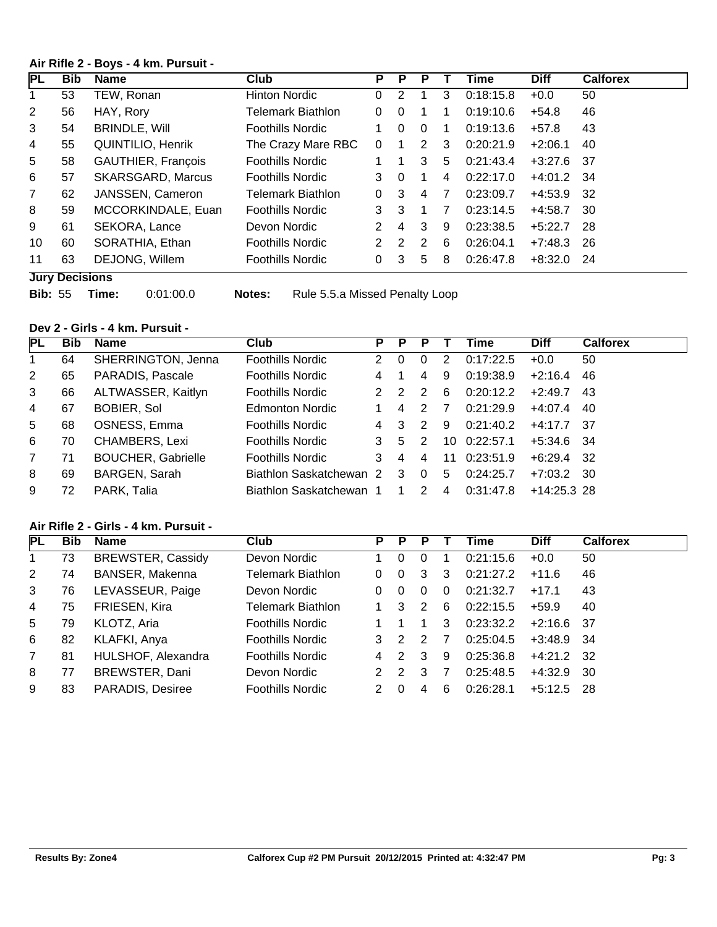## **Air Rifle 2 - Boys - 4 km. Pursuit -**

| IPL            | <b>Bib</b>            | <b>Name</b>              | <b>Club</b>              | P             | P             | Р |   | Time      | <b>Diff</b> | <b>Calforex</b> |
|----------------|-----------------------|--------------------------|--------------------------|---------------|---------------|---|---|-----------|-------------|-----------------|
| 1              | 53                    | TEW, Ronan               | <b>Hinton Nordic</b>     | $\Omega$      | 2             |   | 3 | 0:18:15.8 | $+0.0$      | 50              |
| 2              | 56                    | HAY, Rory                | Telemark Biathlon        | 0             | $\mathbf{0}$  |   |   | 0:19:10.6 | $+54.8$     | 46              |
| 3              | 54                    | <b>BRINDLE, Will</b>     | <b>Foothills Nordic</b>  |               | $\mathbf{0}$  | 0 |   | 0:19:13.6 | $+57.8$     | 43              |
| 4              | 55                    | <b>QUINTILIO, Henrik</b> | The Crazy Mare RBC       | $\Omega$      |               | 2 | 3 | 0:20:21.9 | $+2:06.1$   | 40              |
| 5              | 58                    | GAUTHIER, François       | <b>Foothills Nordic</b>  |               |               | 3 | 5 | 0:21:43.4 | $+3:27.6$   | -37             |
| 6              | 57                    | <b>SKARSGARD, Marcus</b> | <b>Foothills Nordic</b>  | 3             | $\Omega$      |   | 4 | 0:22:17.0 | $+4:01.2$   | -34             |
| $\overline{7}$ | 62                    | JANSSEN, Cameron         | <b>Telemark Biathlon</b> | $\Omega$      | 3             | 4 | 7 | 0:23:09.7 | +4:53.9     | -32             |
| 8              | 59                    | MCCORKINDALE, Euan       | <b>Foothills Nordic</b>  | 3             | 3             |   | 7 | 0:23:14.5 | $+4:58.7$   | -30             |
| 9              | 61                    | SEKORA, Lance            | Devon Nordic             | 2             | 4             | 3 | 9 | 0:23:38.5 | $+5:22.7$   | -28             |
| 10             | 60                    | SORATHIA, Ethan          | <b>Foothills Nordic</b>  | $\mathcal{P}$ | $\mathcal{P}$ | 2 | 6 | 0:26:04.1 | $+7:48.3$   | 26              |
| 11             | 63                    | DEJONG, Willem           | <b>Foothills Nordic</b>  | 0             | 3             | 5 | 8 | 0:26:47.8 | $+8:32.0$   | -24             |
|                | <b>Luny Depicions</b> |                          |                          |               |               |   |   |           |             |                 |

- **Jury Decisions**
- 

**Bib:** 55 **Time:** 0:01:00.0 **Notes:** Rule 5.5.a Missed Penalty Loop

# **Dev 2 - Girls - 4 km. Pursuit -**

| PL | <b>Bib</b> | Name                      | Club                    | P             | Р        |               |                | Time      | <b>Diff</b>   | <b>Calforex</b> |
|----|------------|---------------------------|-------------------------|---------------|----------|---------------|----------------|-----------|---------------|-----------------|
| 1  | 64         | SHERRINGTON, Jenna        | <b>Foothills Nordic</b> | $\mathcal{P}$ | $\Omega$ |               | 2              | 0:17:22.5 | $+0.0$        | 50              |
| 2  | 65         | PARADIS, Pascale          | <b>Foothills Nordic</b> | 4             |          | 4             | 9              | 0:19:38.9 | $+2:16.4$     | 46              |
| 3  | 66         | ALTWASSER, Kaitlyn        | Foothills Nordic        |               |          |               | 6              | 0:20:12.2 | $+2:49.7$     | 43              |
| 4  | 67         | <b>BOBIER, Sol</b>        | <b>Edmonton Nordic</b>  |               | 4        |               |                | 0:21:29.9 | $+4:07.4$     | 40              |
| 5  | 68         | OSNESS, Emma              | <b>Foothills Nordic</b> | 4             |          | 2             | 9              | 0:21:40.2 | $+4:17.7$ 37  |                 |
| 6  | 70         | CHAMBERS, Lexi            | <b>Foothills Nordic</b> |               | 5        | 2             | 10             | 0:22:57.1 | $+5:34.6$ 34  |                 |
| 7  | 71         | <b>BOUCHER, Gabrielle</b> | <b>Foothills Nordic</b> | 3             | 4        | 4             | 11             | 0:23:51.9 | +6:29.4       | - 32            |
| 8  | 69         | BARGEN, Sarah             | Biathlon Saskatchewan 2 |               | 3        | $\Omega$      | 5              | 0:24:25.7 | +7:03.2       | - 30            |
| 9  | 72         | PARK, Talia               | Biathlon Saskatchewan 1 |               |          | $\mathcal{P}$ | $\overline{4}$ | 0:31:47.8 | $+14:25.3$ 28 |                 |

# **Air Rifle 2 - Girls - 4 km. Pursuit -**

| PL             | <b>Bib</b> | Name                     | <b>Club</b>             | P             | P | Р             |          | Time      | <b>Diff</b>  | <b>Calforex</b> |
|----------------|------------|--------------------------|-------------------------|---------------|---|---------------|----------|-----------|--------------|-----------------|
|                | 73         | <b>BREWSTER, Cassidy</b> | Devon Nordic            |               | 0 |               |          | 0:21:15.6 | $+0.0$       | 50              |
| 2              | 74         | BANSER, Makenna          | Telemark Biathlon       | 0             | 0 | 3             | 3        | 0:21:27.2 | $+11.6$      | 46              |
| 3              | 76         | LEVASSEUR, Paige         | Devon Nordic            | 0             | 0 | 0             | $\Omega$ | 0:21:32.7 | $+17.1$      | 43              |
| $\overline{4}$ | 75         | FRIESEN, Kira            | Telemark Biathlon       |               | 3 | 2             | 6        | 0:22:15.5 | $+59.9$      | 40              |
| 5              | 79         | KLOTZ, Aria              | <b>Foothills Nordic</b> |               |   |               | 3        | 0:23:32.2 | $+2:16.6$ 37 |                 |
| 6              | 82         | KLAFKI, Anya             | <b>Foothills Nordic</b> | 3             | 2 | $\mathcal{P}$ | 7        | 0:25:04.5 | $+3:48.9$ 34 |                 |
| 7              | 81         | HULSHOF, Alexandra       | <b>Foothills Nordic</b> | 4             | 2 | 3             | 9        | 0:25:36.8 | $+4:21.2$ 32 |                 |
| 8              | 77         | BREWSTER, Dani           | Devon Nordic            | $\mathcal{P}$ | 2 | 3             | 7        | 0:25:48.5 | +4:32.9      | - 30            |
| 9              | 83         | <b>PARADIS, Desiree</b>  | <b>Foothills Nordic</b> | 2             | 0 | 4             | 6        | 0:26:28.1 | $+5:12.5$    | -28             |